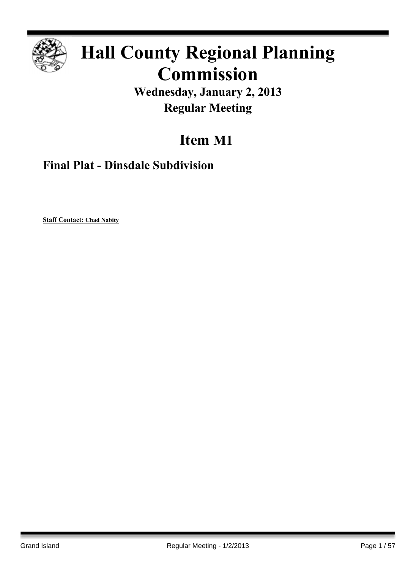

## **Hall County Regional Planning Commission**

**Wednesday, January 2, 2013 Regular Meeting**

## **Item M1**

**Final Plat - Dinsdale Subdivision**

**Staff Contact: Chad Nabity**